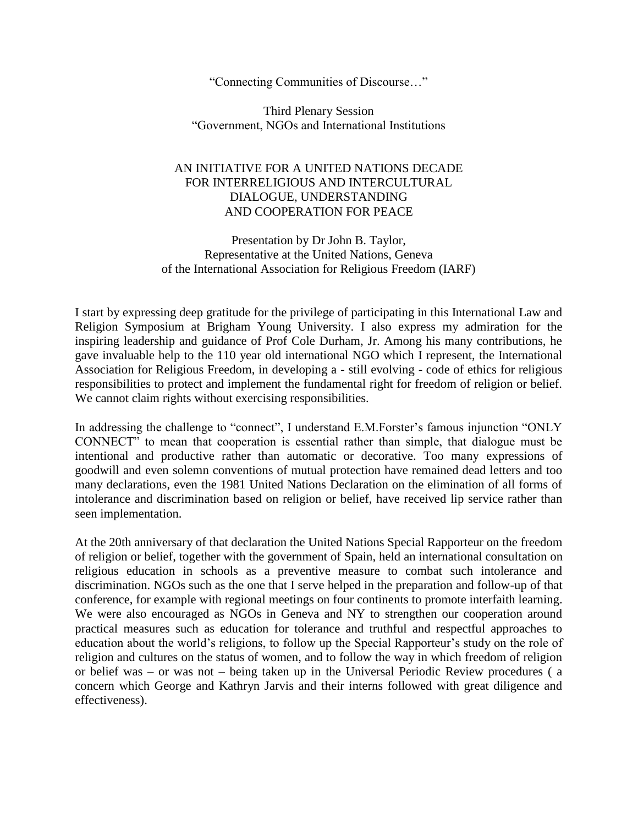"Connecting Communities of Discourse…"

Third Plenary Session "Government, NGOs and International Institutions

## AN INITIATIVE FOR A UNITED NATIONS DECADE FOR INTERRELIGIOUS AND INTERCULTURAL DIALOGUE, UNDERSTANDING AND COOPERATION FOR PEACE

Presentation by Dr John B. Taylor, Representative at the United Nations, Geneva of the International Association for Religious Freedom (IARF)

I start by expressing deep gratitude for the privilege of participating in this International Law and Religion Symposium at Brigham Young University. I also express my admiration for the inspiring leadership and guidance of Prof Cole Durham, Jr. Among his many contributions, he gave invaluable help to the 110 year old international NGO which I represent, the International Association for Religious Freedom, in developing a - still evolving - code of ethics for religious responsibilities to protect and implement the fundamental right for freedom of religion or belief. We cannot claim rights without exercising responsibilities.

In addressing the challenge to "connect", I understand E.M.Forster's famous injunction "ONLY CONNECT" to mean that cooperation is essential rather than simple, that dialogue must be intentional and productive rather than automatic or decorative. Too many expressions of goodwill and even solemn conventions of mutual protection have remained dead letters and too many declarations, even the 1981 United Nations Declaration on the elimination of all forms of intolerance and discrimination based on religion or belief, have received lip service rather than seen implementation.

At the 20th anniversary of that declaration the United Nations Special Rapporteur on the freedom of religion or belief, together with the government of Spain, held an international consultation on religious education in schools as a preventive measure to combat such intolerance and discrimination. NGOs such as the one that I serve helped in the preparation and follow-up of that conference, for example with regional meetings on four continents to promote interfaith learning. We were also encouraged as NGOs in Geneva and NY to strengthen our cooperation around practical measures such as education for tolerance and truthful and respectful approaches to education about the world's religions, to follow up the Special Rapporteur's study on the role of religion and cultures on the status of women, and to follow the way in which freedom of religion or belief was – or was not – being taken up in the Universal Periodic Review procedures ( a concern which George and Kathryn Jarvis and their interns followed with great diligence and effectiveness).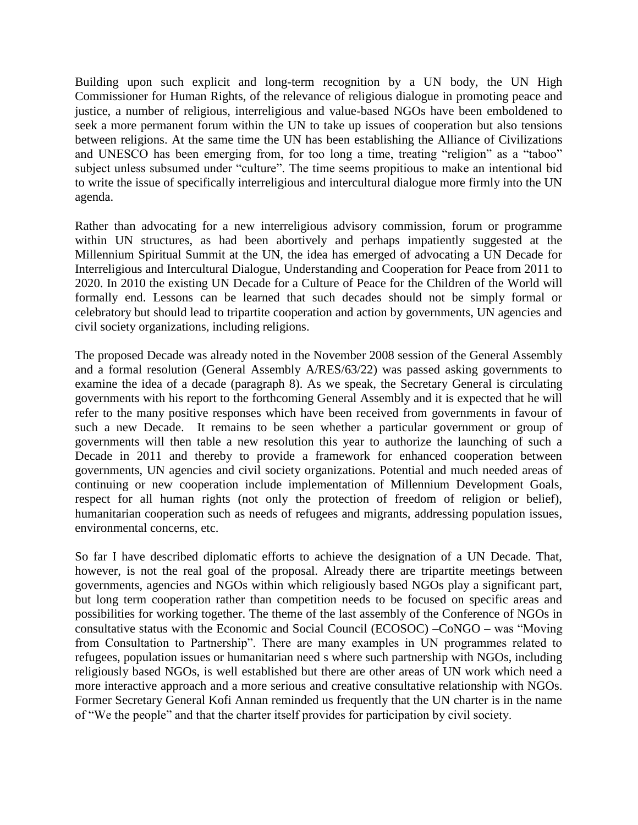Building upon such explicit and long-term recognition by a UN body, the UN High Commissioner for Human Rights, of the relevance of religious dialogue in promoting peace and justice, a number of religious, interreligious and value-based NGOs have been emboldened to seek a more permanent forum within the UN to take up issues of cooperation but also tensions between religions. At the same time the UN has been establishing the Alliance of Civilizations and UNESCO has been emerging from, for too long a time, treating "religion" as a "taboo" subject unless subsumed under "culture". The time seems propitious to make an intentional bid to write the issue of specifically interreligious and intercultural dialogue more firmly into the UN agenda.

Rather than advocating for a new interreligious advisory commission, forum or programme within UN structures, as had been abortively and perhaps impatiently suggested at the Millennium Spiritual Summit at the UN, the idea has emerged of advocating a UN Decade for Interreligious and Intercultural Dialogue, Understanding and Cooperation for Peace from 2011 to 2020. In 2010 the existing UN Decade for a Culture of Peace for the Children of the World will formally end. Lessons can be learned that such decades should not be simply formal or celebratory but should lead to tripartite cooperation and action by governments, UN agencies and civil society organizations, including religions.

The proposed Decade was already noted in the November 2008 session of the General Assembly and a formal resolution (General Assembly A/RES/63/22) was passed asking governments to examine the idea of a decade (paragraph 8). As we speak, the Secretary General is circulating governments with his report to the forthcoming General Assembly and it is expected that he will refer to the many positive responses which have been received from governments in favour of such a new Decade. It remains to be seen whether a particular government or group of governments will then table a new resolution this year to authorize the launching of such a Decade in 2011 and thereby to provide a framework for enhanced cooperation between governments, UN agencies and civil society organizations. Potential and much needed areas of continuing or new cooperation include implementation of Millennium Development Goals, respect for all human rights (not only the protection of freedom of religion or belief), humanitarian cooperation such as needs of refugees and migrants, addressing population issues, environmental concerns, etc.

So far I have described diplomatic efforts to achieve the designation of a UN Decade. That, however, is not the real goal of the proposal. Already there are tripartite meetings between governments, agencies and NGOs within which religiously based NGOs play a significant part, but long term cooperation rather than competition needs to be focused on specific areas and possibilities for working together. The theme of the last assembly of the Conference of NGOs in consultative status with the Economic and Social Council (ECOSOC) –CoNGO – was "Moving from Consultation to Partnership". There are many examples in UN programmes related to refugees, population issues or humanitarian need s where such partnership with NGOs, including religiously based NGOs, is well established but there are other areas of UN work which need a more interactive approach and a more serious and creative consultative relationship with NGOs. Former Secretary General Kofi Annan reminded us frequently that the UN charter is in the name of "We the people" and that the charter itself provides for participation by civil society.